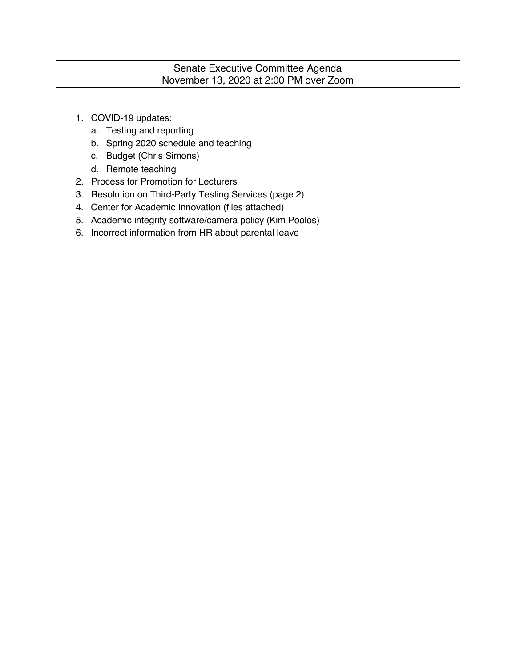## Senate Executive Committee Agenda November 13, 2020 at 2:00 PM over Zoom

- 1. COVID-19 updates:
	- a. Testing and reporting
	- b. Spring 2020 schedule and teaching
	- c. Budget (Chris Simons)
	- d. Remote teaching
- 2. Process for Promotion for Lecturers
- 3. Resolution on Third-Party Testing Services (page 2)
- 4. Center for Academic Innovation (files attached)
- 5. Academic integrity software/camera policy (Kim Poolos)
- 6. Incorrect information from HR about parental leave